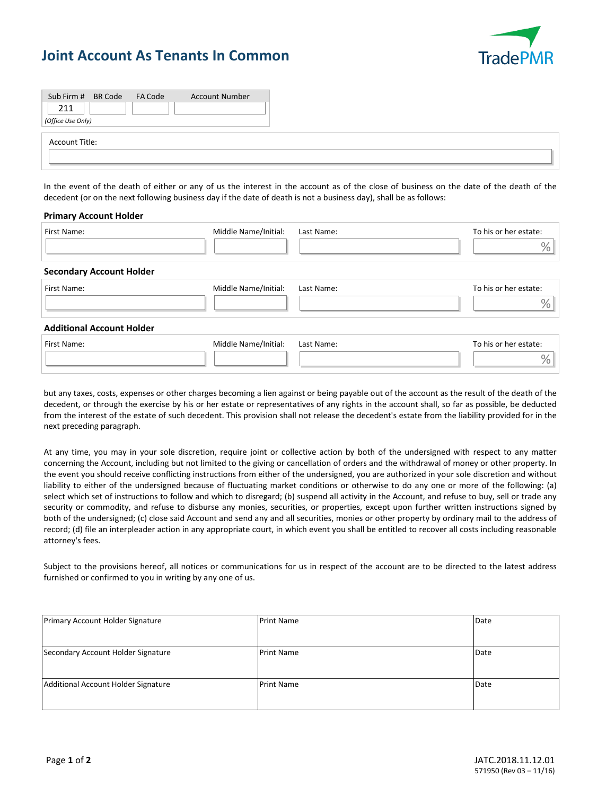## **Joint Account As Tenants In Common**



| Sub Firm # BR Code FA Code<br><b>Account Number</b><br>211 |  |
|------------------------------------------------------------|--|
| (Office Use Only)                                          |  |
| Account Title:                                             |  |
|                                                            |  |

In the event of the death of either or any of us the interest in the account as of the close of business on the date of the death of the decedent (or on the next following business day if the date of death is not a business day), shall be as follows:

## **Primary Account Holder**

| First Name:                      | Middle Name/Initial: | Last Name: | To his or her estate:<br>$\%$          |
|----------------------------------|----------------------|------------|----------------------------------------|
| <b>Secondary Account Holder</b>  |                      |            |                                        |
| First Name:                      | Middle Name/Initial: | Last Name: | To his or her estate:<br>$\frac{0}{0}$ |
| <b>Additional Account Holder</b> |                      |            |                                        |
| First Name:                      | Middle Name/Initial: | Last Name: | To his or her estate:<br>$\frac{0}{0}$ |

but any taxes, costs, expenses or other charges becoming a lien against or being payable out of the account as the result of the death of the decedent, or through the exercise by his or her estate or representatives of any rights in the account shall, so far as possible, be deducted from the interest of the estate of such decedent. This provision shall not release the decedent's estate from the liability provided for in the next preceding paragraph.

At any time, you may in your sole discretion, require joint or collective action by both of the undersigned with respect to any matter concerning the Account, including but not limited to the giving or cancellation of orders and the withdrawal of money or other property. In the event you should receive conflicting instructions from either of the undersigned, you are authorized in your sole discretion and without liability to either of the undersigned because of fluctuating market conditions or otherwise to do any one or more of the following: (a) select which set of instructions to follow and which to disregard; (b) suspend all activity in the Account, and refuse to buy, sell or trade any security or commodity, and refuse to disburse any monies, securities, or properties, except upon further written instructions signed by both of the undersigned; (c) close said Account and send any and all securities, monies or other property by ordinary mail to the address of record; (d) file an interpleader action in any appropriate court, in which event you shall be entitled to recover all costs including reasonable attorney's fees.

Subject to the provisions hereof, all notices or communications for us in respect of the account are to be directed to the latest address furnished or confirmed to you in writing by any one of us.

| Primary Account Holder Signature    | <b>Print Name</b> | Date |
|-------------------------------------|-------------------|------|
| Secondary Account Holder Signature  | <b>Print Name</b> | Date |
| Additional Account Holder Signature | <b>Print Name</b> | Date |